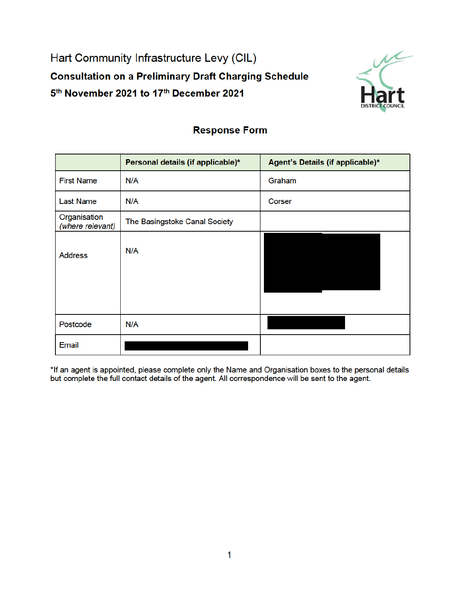Hart Community Infrastructure Levy (CIL) **Consultation on a Preliminary Draft Charging Schedule** 5th November 2021 to 17th December 2021



## **Response Form**

|                                  | Personal details (if applicable)* | Agent's Details (if applicable)* |
|----------------------------------|-----------------------------------|----------------------------------|
| <b>First Name</b>                | N/A                               | Graham                           |
| <b>Last Name</b>                 | N/A                               | Corser                           |
| Organisation<br>(where relevant) | The Basingstoke Canal Society     |                                  |
| <b>Address</b>                   | N/A                               |                                  |
| Postcode                         | N/A                               |                                  |
| <b>Email</b>                     |                                   |                                  |

\*If an agent is appointed, please complete only the Name and Organisation boxes to the personal details but complete the full contact details of the agent. All correspondence will be sent to the agent.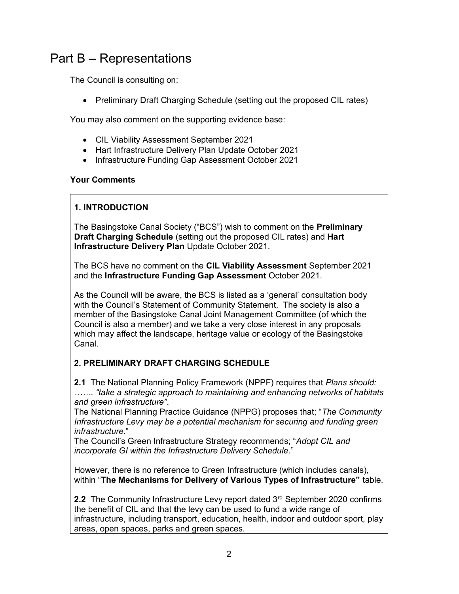# Part B – Representations

The Council is consulting on:

• Preliminary Draft Charging Schedule (setting out the proposed CIL rates)

You may also comment on the supporting evidence base:

- CIL Viability Assessment September 2021
- Hart Infrastructure Delivery Plan Update October 2021
- Infrastructure Funding Gap Assessment October 2021

#### Your Comments

### 1. INTRODUCTION

The Basingstoke Canal Society ("BCS") wish to comment on the Preliminary Draft Charging Schedule (setting out the proposed CIL rates) and Hart Infrastructure Delivery Plan Update October 2021.

The BCS have no comment on the CIL Viability Assessment September 2021 and the Infrastructure Funding Gap Assessment October 2021.

As the Council will be aware, the BCS is listed as a 'general' consultation body with the Council's Statement of Community Statement. The society is also a member of the Basingstoke Canal Joint Management Committee (of which the Council is also a member) and we take a very close interest in any proposals which may affect the landscape, heritage value or ecology of the Basingstoke Canal.

#### 2. PRELIMINARY DRAFT CHARGING SCHEDULE

2.1 The National Planning Policy Framework (NPPF) requires that Plans should: ……. "take a strategic approach to maintaining and enhancing networks of habitats and green infrastructure".

The National Planning Practice Guidance (NPPG) proposes that; "The Community Infrastructure Levy may be a potential mechanism for securing and funding green infrastructure."

The Council's Green Infrastructure Strategy recommends; "Adopt CIL and incorporate GI within the Infrastructure Delivery Schedule."

However, there is no reference to Green Infrastructure (which includes canals), within "The Mechanisms for Delivery of Various Types of Infrastructure" table.

2.2 The Community Infrastructure Levy report dated 3<sup>rd</sup> September 2020 confirms the benefit of CIL and that the levy can be used to fund a wide range of infrastructure, including transport, education, health, indoor and outdoor sport, play areas, open spaces, parks and green spaces.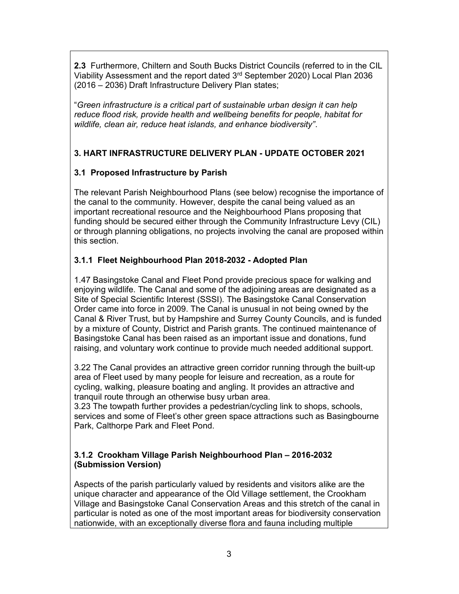2.3 Furthermore, Chiltern and South Bucks District Councils (referred to in the CIL Viability Assessment and the report dated 3rd September 2020) Local Plan 2036 (2016 – 2036) Draft Infrastructure Delivery Plan states;

"Green infrastructure is a critical part of sustainable urban design it can help reduce flood risk, provide health and wellbeing benefits for people, habitat for wildlife, clean air, reduce heat islands, and enhance biodiversity".

#### 3. HART INFRASTRUCTURE DELIVERY PLAN - UPDATE OCTOBER 2021

#### 3.1 Proposed Infrastructure by Parish

The relevant Parish Neighbourhood Plans (see below) recognise the importance of the canal to the community. However, despite the canal being valued as an important recreational resource and the Neighbourhood Plans proposing that funding should be secured either through the Community Infrastructure Levy (CIL) or through planning obligations, no projects involving the canal are proposed within this section.

#### 3.1.1 Fleet Neighbourhood Plan 2018-2032 - Adopted Plan

1.47 Basingstoke Canal and Fleet Pond provide precious space for walking and enjoying wildlife. The Canal and some of the adjoining areas are designated as a Site of Special Scientific Interest (SSSI). The Basingstoke Canal Conservation Order came into force in 2009. The Canal is unusual in not being owned by the Canal & River Trust, but by Hampshire and Surrey County Councils, and is funded by a mixture of County, District and Parish grants. The continued maintenance of Basingstoke Canal has been raised as an important issue and donations, fund raising, and voluntary work continue to provide much needed additional support.

3.22 The Canal provides an attractive green corridor running through the built-up area of Fleet used by many people for leisure and recreation, as a route for cycling, walking, pleasure boating and angling. It provides an attractive and tranquil route through an otherwise busy urban area.

3.23 The towpath further provides a pedestrian/cycling link to shops, schools, services and some of Fleet's other green space attractions such as Basingbourne Park, Calthorpe Park and Fleet Pond.

#### 3.1.2 Crookham Village Parish Neighbourhood Plan – 2016-2032 (Submission Version)

Aspects of the parish particularly valued by residents and visitors alike are the unique character and appearance of the Old Village settlement, the Crookham Village and Basingstoke Canal Conservation Areas and this stretch of the canal in particular is noted as one of the most important areas for biodiversity conservation nationwide, with an exceptionally diverse flora and fauna including multiple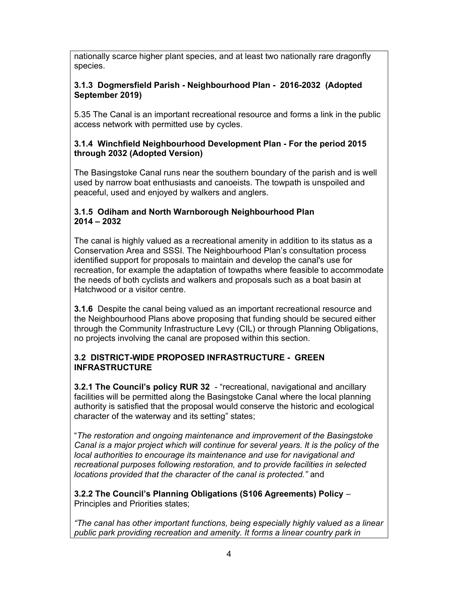nationally scarce higher plant species, and at least two nationally rare dragonfly species.

#### 3.1.3 Dogmersfield Parish - Neighbourhood Plan - 2016-2032 (Adopted September 2019)

5.35 The Canal is an important recreational resource and forms a link in the public access network with permitted use by cycles.

#### 3.1.4 Winchfield Neighbourhood Development Plan - For the period 2015 through 2032 (Adopted Version)

The Basingstoke Canal runs near the southern boundary of the parish and is well used by narrow boat enthusiasts and canoeists. The towpath is unspoiled and peaceful, used and enjoyed by walkers and anglers.

#### 3.1.5 Odiham and North Warnborough Neighbourhood Plan 2014 – 2032

The canal is highly valued as a recreational amenity in addition to its status as a Conservation Area and SSSI. The Neighbourhood Plan's consultation process identified support for proposals to maintain and develop the canal's use for recreation, for example the adaptation of towpaths where feasible to accommodate the needs of both cyclists and walkers and proposals such as a boat basin at Hatchwood or a visitor centre.

3.1.6 Despite the canal being valued as an important recreational resource and the Neighbourhood Plans above proposing that funding should be secured either through the Community Infrastructure Levy (CIL) or through Planning Obligations, no projects involving the canal are proposed within this section.

#### 3.2 DISTRICT-WIDE PROPOSED INFRASTRUCTURE - GREEN INFRASTRUCTURE

**3.2.1 The Council's policy RUR 32** - "recreational, navigational and ancillary facilities will be permitted along the Basingstoke Canal where the local planning authority is satisfied that the proposal would conserve the historic and ecological character of the waterway and its setting" states;

"The restoration and ongoing maintenance and improvement of the Basingstoke Canal is a major project which will continue for several years. It is the policy of the local authorities to encourage its maintenance and use for navigational and recreational purposes following restoration, and to provide facilities in selected locations provided that the character of the canal is protected." and

3.2.2 The Council's Planning Obligations (S106 Agreements) Policy – Principles and Priorities states;

"The canal has other important functions, being especially highly valued as a linear public park providing recreation and amenity. It forms a linear country park in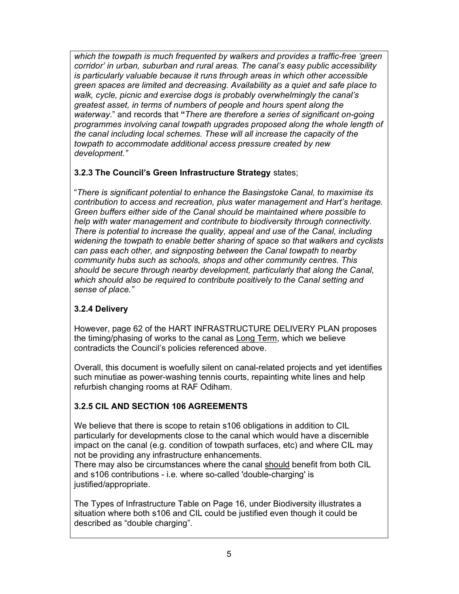which the towpath is much frequented by walkers and provides a traffic-free 'green corridor' in urban, suburban and rural areas. The canal's easy public accessibility is particularly valuable because it runs through areas in which other accessible green spaces are limited and decreasing. Availability as a quiet and safe place to walk, cycle, picnic and exercise dogs is probably overwhelmingly the canal's greatest asset, in terms of numbers of people and hours spent along the waterway." and records that "There are therefore a series of significant on-going programmes involving canal towpath upgrades proposed along the whole length of the canal including local schemes. These will all increase the capacity of the towpath to accommodate additional access pressure created by new development."

#### 3.2.3 The Council's Green Infrastructure Strategy states;

"There is significant potential to enhance the Basingstoke Canal, to maximise its contribution to access and recreation, plus water management and Hart's heritage. Green buffers either side of the Canal should be maintained where possible to help with water management and contribute to biodiversity through connectivity. There is potential to increase the quality, appeal and use of the Canal, including widening the towpath to enable better sharing of space so that walkers and cyclists can pass each other, and signposting between the Canal towpath to nearby community hubs such as schools, shops and other community centres. This should be secure through nearby development, particularly that along the Canal, which should also be required to contribute positively to the Canal setting and sense of place."

## 3.2.4 Delivery

However, page 62 of the HART INFRASTRUCTURE DELIVERY PLAN proposes the timing/phasing of works to the canal as Long Term, which we believe contradicts the Council's policies referenced above.

Overall, this document is woefully silent on canal-related projects and yet identifies such minutiae as power-washing tennis courts, repainting white lines and help refurbish changing rooms at RAF Odiham.

## 3.2.5 CIL AND SECTION 106 AGREEMENTS

We believe that there is scope to retain s106 obligations in addition to CIL particularly for developments close to the canal which would have a discernible impact on the canal (e.g. condition of towpath surfaces, etc) and where CIL may not be providing any infrastructure enhancements.

There may also be circumstances where the canal should benefit from both CIL and s106 contributions - i.e. where so-called 'double-charging' is justified/appropriate.

The Types of Infrastructure Table on Page 16, under Biodiversity illustrates a situation where both s106 and CIL could be justified even though it could be described as "double charging".